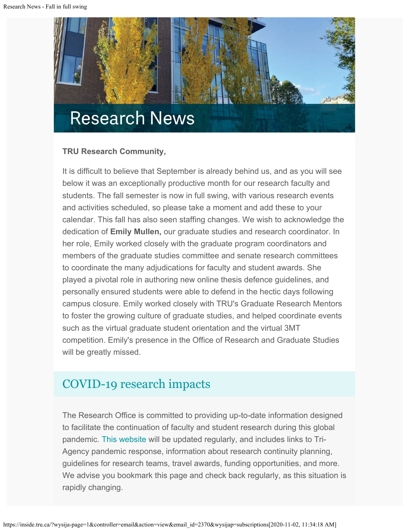

### **TRU Research Community,**

It is difficult to believe that September is already behind us, and as you will see below it was an exceptionally productive month for our research faculty and students. The fall semester is now in full swing, with various research events and activities scheduled, so please take a moment and add these to your calendar. This fall has also seen staffing changes. We wish to acknowledge the dedication of **Emily Mullen,** our graduate studies and research coordinator. In her role, Emily worked closely with the graduate program coordinators and members of the graduate studies committee and senate research committees to coordinate the many adjudications for faculty and student awards. She played a pivotal role in authoring new online thesis defence guidelines, and personally ensured students were able to defend in the hectic days following campus closure. Emily worked closely with TRU's Graduate Research Mentors to foster the growing culture of graduate studies, and helped coordinate events such as the virtual graduate student orientation and the virtual 3MT competition. Emily's presence in the Office of Research and Graduate Studies will be greatly missed.

# [COVID-19 research impacts](https://www.tru.ca/research/covid-19-research-impacts.html)

The Research Office is committed to providing up-to-date information designed to facilitate the continuation of faculty and student research during this global pandemic. [This website](https://www.tru.ca/research/covid-19-research-impacts.html) will be updated regularly, and includes links to Tri-Agency pandemic response, information about research continuity planning, guidelines for research teams, travel awards, funding opportunities, and more. We advise you bookmark this page and check back regularly, as this situation is rapidly changing.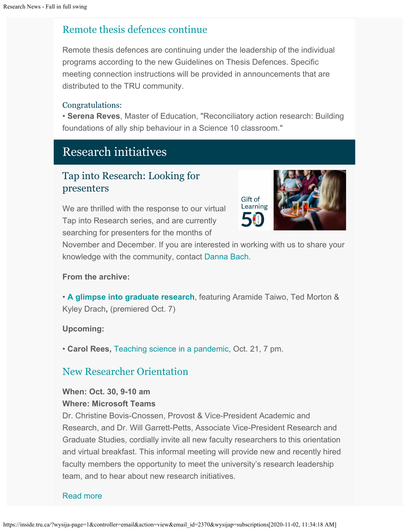## [Remote thesis defences continue](https://www.tru.ca/research/graduate-studies/remote-thesis-defence-procedures.html)

Remote thesis defences are continuing under the leadership of the individual programs according to the new Guidelines on Thesis Defences. Specific meeting connection instructions will be provided in announcements that are distributed to the TRU community.

#### Congratulations:

• **Serena Reves**, Master of Education, "Reconciliatory action research: Building foundations of ally ship behaviour in a Science 10 classroom."

# Research initiatives

## Tap into Research: Looking for presenters

We are thrilled with the response to our virtual Tap into Research series, and are currently searching for presenters for the months of



November and December. If you are interested in working with us to share your knowledge with the community, contact [Danna Bach](mailto:dbach@tru.ca).

#### **From the archive:**

• **[A glimpse into graduate research](https://youtu.be/cq2LZzgNQiI)**, featuring Aramide Taiwo, Ted Morton & Kyley Drach**,** (premiered Oct. 7)

**Upcoming:**

• **Carol Rees,** [Teaching science in a pandemic](https://inside.tru.ca/events/event/tap-into-research-teaching-science-in-a-pandemic-with-carol-rees/), Oct. 21, 7 pm.

## [New Researcher Orientation](http://inside.tru.ca/events/event/new-researcher-orientation/)

#### **When: Oct. 30, 9-10 am Where: Microsoft Teams**

Dr. Christine Bovis-Cnossen, Provost & Vice-President Academic and Research, and Dr. Will Garrett-Petts, Associate Vice-President Research and Graduate Studies, cordially invite all new faculty researchers to this orientation and virtual breakfast. This informal meeting will provide new and recently hired faculty members the opportunity to meet the university's research leadership team, and to hear about new research initiatives.

#### [Read more](http://inside.tru.ca/events/event/new-researcher-orientation/)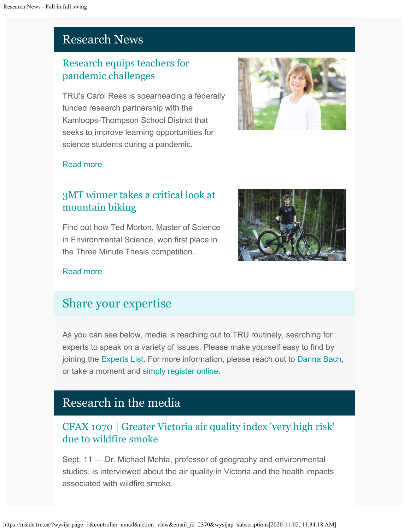# Research News

# [Research equips teachers for](http://inside.tru.ca/2020/10/01/research-equips-teachers-for-pandemic-challenges/) [pandemic challenges](http://inside.tru.ca/2020/10/01/research-equips-teachers-for-pandemic-challenges/)

TRU's Carol Rees is spearheading a federally funded research partnership with the Kamloops-Thompson School District that seeks to improve learning opportunities for science students during a pandemic.



### [Read more](http://inside.tru.ca/2020/10/01/research-equips-teachers-for-pandemic-challenges/)

# [3MT winner takes a critical look at](http://inside.tru.ca/2020/09/15/3mt-winner-takes-a-critical-look-at-mountain-biking/) [mountain biking](http://inside.tru.ca/2020/09/15/3mt-winner-takes-a-critical-look-at-mountain-biking/)

Find out how Ted Morton, Master of Science in Environmental Science, won first place in the Three Minute Thesis competition.



## [Read more](http://inside.tru.ca/2020/09/15/3mt-winner-takes-a-critical-look-at-mountain-biking/)

# [Share your expertise](https://inside.tru.ca/tru.ca/experts)

As you can see below, media is reaching out to TRU routinely, searching for experts to speak on a variety of issues. Please make yourself easy to find by joining the [Experts List](https://inside.tru.ca/tru.ca/experts). For more information, please reach out to [Danna Bach](mailto:dbach@tru.ca), or take a moment and [simply register online](https://inside.tru.ca/find-an-expert/experts-registration-update/).

# Research in the media

# [CFAX 1070 | Greater Victoria air quality index 'very high risk'](http://inside.tru.ca/inthemedia/cfax-1070-greater-victoria-air-quality-index-very-high-risk-due-to-wildfire-smoke/) [due to wildfire smoke](http://inside.tru.ca/inthemedia/cfax-1070-greater-victoria-air-quality-index-very-high-risk-due-to-wildfire-smoke/)

Sept. 11 — Dr. Michael Mehta, professor of geography and environmental studies, is interviewed about the air quality in Victoria and the health impacts associated with wildfire smoke.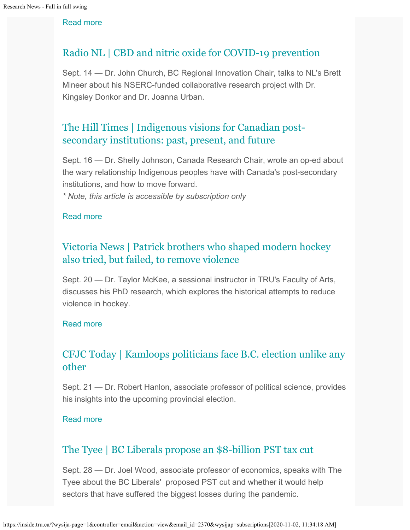[Read more](http://inside.tru.ca/inthemedia/cfax-1070-greater-victoria-air-quality-index-very-high-risk-due-to-wildfire-smoke/)

## [Radio NL | CBD and nitric oxide for COVID-19 prevention](https://soundcloud.com/user-965676831/brett-mineer-dr-john-church-sept-14)

Sept. 14 — Dr. John Church, BC Regional Innovation Chair, talks to NL's Brett Mineer about his NSERC-funded collaborative research project with Dr. Kingsley Donkor and Dr. Joanna Urban.

# [The Hill Times | Indigenous visions for Canadian post](http://inside.tru.ca/inthemedia/the-hill-times-indigenous-visions-for-canadian-post-secondary-institutions-past-present-and-future/)[secondary institutions: past, present, and future](http://inside.tru.ca/inthemedia/the-hill-times-indigenous-visions-for-canadian-post-secondary-institutions-past-present-and-future/)

Sept. 16 — Dr. Shelly Johnson, Canada Research Chair, wrote an op-ed about the wary relationship Indigenous peoples have with Canada's post-secondary institutions, and how to move forward.

*\* Note, this article is accessible by subscription only*

#### [Read more](http://inside.tru.ca/inthemedia/the-hill-times-indigenous-visions-for-canadian-post-secondary-institutions-past-present-and-future/)

# [Victoria News | Patrick brothers who shaped modern hockey](http://inside.tru.ca/inthemedia/victoria-news-patrick-brothers-who-shaped-modern-hockey-also-tried-but-failed-to-remove-violence/) [also tried, but failed, to remove violence](http://inside.tru.ca/inthemedia/victoria-news-patrick-brothers-who-shaped-modern-hockey-also-tried-but-failed-to-remove-violence/)

Sept. 20 — Dr. Taylor McKee, a sessional instructor in TRU's Faculty of Arts, discusses his PhD research, which explores the historical attempts to reduce violence in hockey.

#### [Read more](http://inside.tru.ca/inthemedia/victoria-news-patrick-brothers-who-shaped-modern-hockey-also-tried-but-failed-to-remove-violence/)

# [CFJC Today | Kamloops politicians face B.C. election unlike any](http://inside.tru.ca/inthemedia/cfjc-today-kamloops-politicians-face-b-c-election-unlike-any-other/) [other](http://inside.tru.ca/inthemedia/cfjc-today-kamloops-politicians-face-b-c-election-unlike-any-other/)

Sept. 21 — Dr. Robert Hanlon, associate professor of political science, provides his insights into the upcoming provincial election.

#### [Read more](http://inside.tru.ca/inthemedia/cfjc-today-kamloops-politicians-face-b-c-election-unlike-any-other/)

## [The Tyee | BC Liberals propose an \\$8-billion PST tax cut](http://inside.tru.ca/inthemedia/the-tyee-bc-liberals-propose-an-8-billion-pst-tax-cut/)

Sept. 28 — Dr. Joel Wood, associate professor of economics, speaks with The Tyee about the BC Liberals' proposed PST cut and whether it would help sectors that have suffered the biggest losses during the pandemic.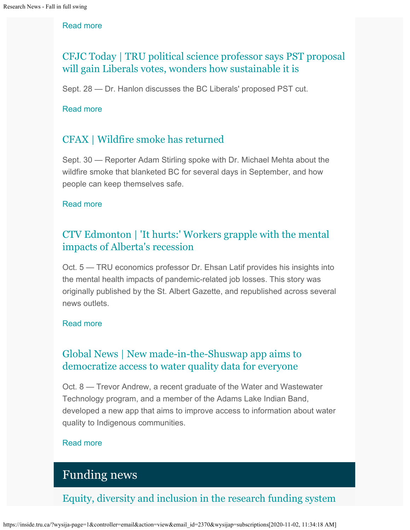#### [Read more](http://inside.tru.ca/inthemedia/the-tyee-bc-liberals-propose-an-8-billion-pst-tax-cut/)

# [CFJC Today | TRU political science professor says PST proposal](http://inside.tru.ca/inthemedia/cfjc-today-tru-political-science-professor-says-pst-proposal-will-gain-liberals-votes-wonders-how-sustainable-it-is/) [will gain Liberals votes, wonders how sustainable it is](http://inside.tru.ca/inthemedia/cfjc-today-tru-political-science-professor-says-pst-proposal-will-gain-liberals-votes-wonders-how-sustainable-it-is/)

Sept. 28 — Dr. Hanlon discusses the BC Liberals' proposed PST cut.

#### [Read more](http://inside.tru.ca/inthemedia/cfjc-today-tru-political-science-professor-says-pst-proposal-will-gain-liberals-votes-wonders-how-sustainable-it-is/)

## [CFAX | Wildfire smoke has returned](http://inside.tru.ca/inthemedia/cfax-wildfire-smoke-has-returned/)

Sept. 30 — Reporter Adam Stirling spoke with Dr. Michael Mehta about the wildfire smoke that blanketed BC for several days in September, and how people can keep themselves safe.

#### [Read more](http://inside.tru.ca/inthemedia/cfax-wildfire-smoke-has-returned/)

# [CTV Edmonton | 'It hurts:' Workers grapple with the mental](http://inside.tru.ca/inthemedia/ctv-edmonton-it-hurts-workers-grapple-with-the-mental-impacts-of-albertas-recession/) [impacts of Alberta's recession](http://inside.tru.ca/inthemedia/ctv-edmonton-it-hurts-workers-grapple-with-the-mental-impacts-of-albertas-recession/)

Oct. 5 — TRU economics professor Dr. Ehsan Latif provides his insights into the mental health impacts of pandemic-related job losses. This story was originally published by the St. Albert Gazette, and republished across several news outlets.

#### [Read more](http://inside.tru.ca/inthemedia/ctv-edmonton-it-hurts-workers-grapple-with-the-mental-impacts-of-albertas-recession/)

## [Global News | New made-in-the-Shuswap app aims to](http://inside.tru.ca/inthemedia/global-news-new-made-in-the-shuswap-app-aims-to-democratize-access-to-water-quality-data-for-everyone/) [democratize access to water quality data for everyone](http://inside.tru.ca/inthemedia/global-news-new-made-in-the-shuswap-app-aims-to-democratize-access-to-water-quality-data-for-everyone/)

Oct. 8 — Trevor Andrew, a recent graduate of the Water and Wastewater Technology program, and a member of the Adams Lake Indian Band, developed a new app that aims to improve access to information about water quality to Indigenous communities.

#### [Read more](http://inside.tru.ca/inthemedia/global-news-new-made-in-the-shuswap-app-aims-to-democratize-access-to-water-quality-data-for-everyone/)

# Funding news

[Equity, diversity and inclusion in the research funding system](https://cihr-irsc.gc.ca/e/52174.html)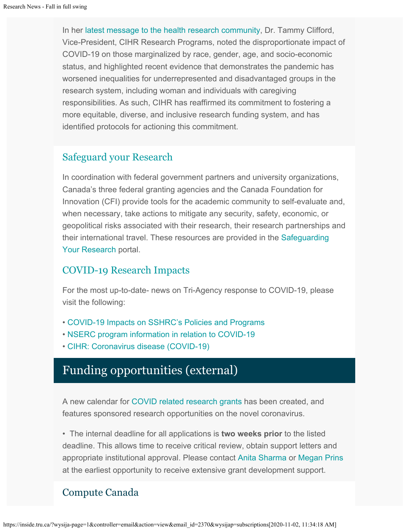In her [latest message to the health research community](https://cihr-irsc.gc.ca/e/52174.html), Dr. Tammy Clifford, Vice-President, CIHR Research Programs, noted the disproportionate impact of COVID-19 on those marginalized by race, gender, age, and socio-economic status, and highlighted recent evidence that demonstrates the pandemic has worsened inequalities for underrepresented and disadvantaged groups in the research system, including woman and individuals with caregiving responsibilities. As such, CIHR has reaffirmed its commitment to fostering a more equitable, diverse, and inclusive research funding system, and has identified protocols for actioning this commitment.

## [Safeguard your Research](https://cihr-irsc.gc.ca/e/52135.html)

In coordination with federal government partners and university organizations, Canada's three federal granting agencies and the Canada Foundation for Innovation (CFI) provide tools for the academic community to self-evaluate and, when necessary, take actions to mitigate any security, safety, economic, or geopolitical risks associated with their research, their research partnerships and their international travel. These resources are provided in the [Safeguarding](http://www.science.gc.ca/safeguarding-your-research/) [Your Research](http://www.science.gc.ca/safeguarding-your-research/) portal.

## [COVID-19 Research Impacts](https://tru.ca/research/covid-19-research-impacts.html)

For the most up-to-date- news on Tri-Agency response to COVID-19, please visit the following:

- [COVID-19 Impacts on SSHRC's Policies and Programs](https://www.sshrc-crsh.gc.ca/news_room-salle_de_presse/covid-19-eng.aspx)
- [NSERC program information in relation to COVID-19](https://www.nserc-crsng.gc.ca/Media-Media/NewsRelease-CommuniqueDePresse_eng.asp?ID=1139)
- [CIHR: Coronavirus disease \(COVID-19\)](https://cihr-irsc.gc.ca/e/51917.html)

# Funding opportunities (external)

A new calendar for [COVID related research grants](https://www.tru.ca/research/research-services/research-services-faculty/faculty-research-funding/funding-deadlines.html) has been created, and features sponsored research opportunities on the novel coronavirus.

• The internal deadline for all applications is **two weeks prior** to the listed deadline. This allows time to receive critical review, obtain support letters and appropriate institutional approval. Please contact [Anita Sharma](mailto:ansharma@tru.ca) or [Megan Prins](mailto:mprins@tru.ca) at the earliest opportunity to receive extensive grant development support.

# Compute Canada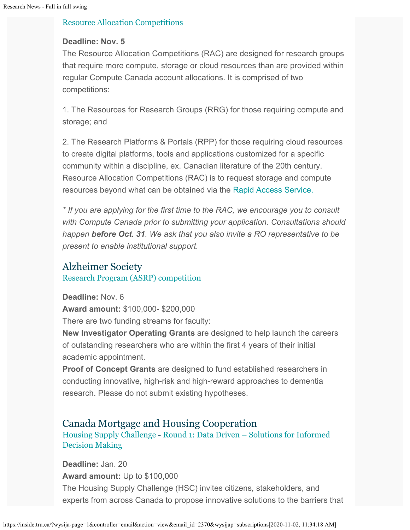#### [Resource Allocation Competitions](https://www.computecanada.ca/research-portal/accessing-resources/resource-allocation-competitions/)

### **Deadline: Nov. 5**

The Resource Allocation Competitions (RAC) are designed for research groups that require more compute, storage or cloud resources than are provided within regular Compute Canada account allocations. It is comprised of two competitions:

1. The Resources for Research Groups (RRG) for those requiring compute and storage; and

2. The Research Platforms & Portals (RPP) for those requiring cloud resources to create digital platforms, tools and applications customized for a specific community within a discipline, ex. Canadian literature of the 20th century. Resource Allocation Competitions (RAC) is to request storage and compute resources beyond what can be obtained via the [Rapid Access Service.](https://www.computecanada.ca/research-portal/accessing-resources/rapid-access-service/)

*\* If you are applying for the first time to the RAC, we encourage you to consult with Compute Canada prior to submitting your application. Consultations should happen before Oct. 31. We ask that you also invite a RO representative to be present to enable institutional support.*

## Alzheimer Society [Research Program \(ASRP\) competition](https://alzheimer.ca/en/research/information-researchers/apply-alzheimer-society-research-program)

**Deadline:** Nov. 6 **Award amount:** \$100,000- \$200,000

There are two funding streams for faculty:

**New Investigator Operating Grants** are designed to help launch the careers of outstanding researchers who are within the first 4 years of their initial academic appointment.

**Proof of Concept Grants** are designed to fund established researchers in conducting innovative, high-risk and high-reward approaches to dementia research. Please do not submit existing hypotheses.

## Canada Mortgage and Housing Cooperation [Housing Supply Challenge](https://impact.canada.ca/en/challenges/housing-supply-challenge) - [Round 1: Data Driven – Solutions for Informed](https://impact.canada.ca/en/challenges/housing-supply-challenge/process) [Decision Making](https://impact.canada.ca/en/challenges/housing-supply-challenge/process)

**Deadline:** Jan. 20 **Award amount:** Up to \$100,000 The Housing Supply Challenge (HSC) invites citizens, stakeholders, and experts from across Canada to propose innovative solutions to the barriers that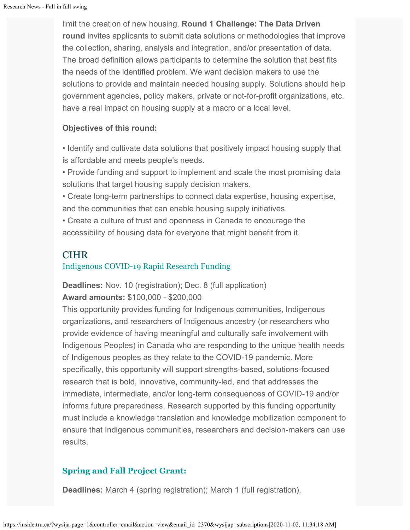limit the creation of new housing. **Round 1 Challenge: The Data Driven round** invites applicants to submit data solutions or methodologies that improve the collection, sharing, analysis and integration, and/or presentation of data. The broad definition allows participants to determine the solution that best fits the needs of the identified problem. We want decision makers to use the solutions to provide and maintain needed housing supply. Solutions should help government agencies, policy makers, private or not-for-profit organizations, etc. have a real impact on housing supply at a macro or a local level.

### **Objectives of this round:**

• Identify and cultivate data solutions that positively impact housing supply that is affordable and meets people's needs.

• Provide funding and support to implement and scale the most promising data solutions that target housing supply decision makers.

• Create long-term partnerships to connect data expertise, housing expertise, and the communities that can enable housing supply initiatives.

• Create a culture of trust and openness in Canada to encourage the accessibility of housing data for everyone that might benefit from it.

## **CIHR**

## [Indigenous COVID-19 Rapid Research Funding](https://www.researchnet-recherchenet.ca/rnr16/vwOpprtntyDtls.do?all=1&masterList=true&next=1&prog=3378&resultCount=25&sort=program&type=EXACT&view=currentOpps&language=E)

**Deadlines:** Nov. 10 (registration); Dec. 8 (full application) **Award amounts:** \$100,000 - \$200,000

This opportunity provides funding for Indigenous communities, Indigenous organizations, and researchers of Indigenous ancestry (or researchers who provide evidence of having meaningful and culturally safe involvement with Indigenous Peoples) in Canada who are responding to the unique health needs of Indigenous peoples as they relate to the COVID-19 pandemic. More specifically, this opportunity will support strengths-based, solutions-focused research that is bold, innovative, community-led, and that addresses the immediate, intermediate, and/or long-term consequences of COVID-19 and/or informs future preparedness. Research supported by this funding opportunity must include a knowledge translation and knowledge mobilization component to ensure that Indigenous communities, researchers and decision-makers can use results.

## **[Spring and Fall Project Grant:](https://cihr-irsc.gc.ca/e/51996.html)**

**Deadlines:** March 4 (spring registration); March 1 (full registration).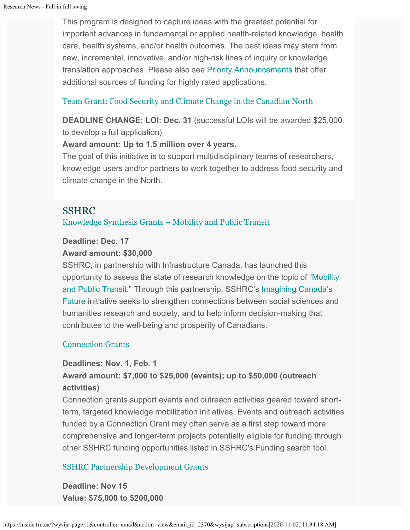This program is designed to capture ideas with the greatest potential for important advances in fundamental or applied health-related knowledge, health care, health systems, and/or health outcomes. The best ideas may stem from new, incremental, innovative, and/or high-risk lines of inquiry or knowledge translation approaches. Please also see [Priority Announcements](https://www.researchnet-recherchenet.ca/rnr16/viewOpportunityDetails.do?progCd=11078&language=E&org=CIHR) that offer additional sources of funding for highly rated applications.

### [Team Grant: Food Security and Climate Change in the Canadian North](https://www.researchnet-recherchenet.ca/rnr16/vwOpprtntyDtls.do?prog=3269&view=search&launchMonth=2&launchYear=2020&type=EXACT&resultCount=25&next=1)

**DEADLINE CHANGE: LOI: Dec. 31** (successful LOIs will be awarded \$25,000 to develop a full application)

#### **Award amount: Up to 1.5 million over 4 years.**

The goal of this initiative is to support multidisciplinary teams of researchers, knowledge users and/or partners to work together to address food security and climate change in the North.

## SSHRC

[Knowledge Synthesis Grants – Mobility and Public Transit](https://www.sshrc-crsh.gc.ca/funding-financement/programs-programmes/ksg_public_transit-ssc_transport_commun-eng.aspx)

#### **Deadline: Dec. 17**

#### **Award amount: \$30,000**

SSHRC, in partnership with Infrastructure Canada, has launched this opportunity to assess the state of research knowledge on the topic of ["Mobility](https://www.sshrc-crsh.gc.ca/funding-financement/programs-programmes/ksg_public_transit-ssc_transport_commun-eng.aspx) [and Public Transit](https://www.sshrc-crsh.gc.ca/funding-financement/programs-programmes/ksg_public_transit-ssc_transport_commun-eng.aspx)." Through this partnership, SSHRC's [Imagining Canada's](https://www.sshrc-crsh.gc.ca/society-societe/community-communite/Imagining_Canadas_Future-Imaginer_l_avenir_du_Canada-eng.aspx) [Future](https://www.sshrc-crsh.gc.ca/society-societe/community-communite/Imagining_Canadas_Future-Imaginer_l_avenir_du_Canada-eng.aspx) initiative seeks to strengthen connections between social sciences and humanities research and society, and to help inform decision-making that contributes to the well-being and prosperity of Canadians.

### [Connection Grants](http://www.sshrc-crsh.gc.ca/funding-financement/programs-programmes/connection_grants-subventions_connexion-eng.aspx)

#### **Deadlines: Nov. 1, Feb. 1**

## **Award amount: \$7,000 to \$25,000 (events); up to \$50,000 (outreach activities)**

Connection grants support events and outreach activities geared toward shortterm, targeted knowledge mobilization initiatives. Events and outreach activities funded by a Connection Grant may often serve as a first step toward more comprehensive and longer-term projects potentially eligible for funding through other SSHRC funding opportunities listed in SSHRC's Funding search tool.

### [SSHRC Partnership Development Grants](http://www.sshrc-crsh.gc.ca/funding-financement/programs-programmes/partnership_development_grants-subventions_partenariat_developpement-eng.aspx)

**Deadline: Nov 15 Value: \$75,000 to \$200,000**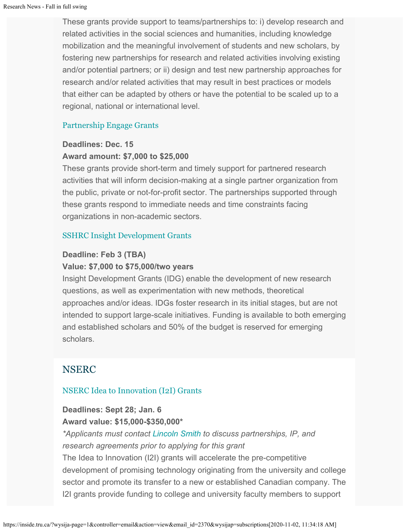These grants provide support to teams/partnerships to: i) develop research and related activities in the social sciences and humanities, including knowledge mobilization and the meaningful involvement of students and new scholars, by fostering new partnerships for research and related activities involving existing and/or potential partners; or ii) design and test new partnership approaches for research and/or related activities that may result in best practices or models that either can be adapted by others or have the potential to be scaled up to a regional, national or international level.

## [Partnership Engage Grants](http://www.sshrc-crsh.gc.ca/funding-financement/programs-programmes/partnership_engage_grants-subventions_d_engagement_partenarial-eng.aspx)

## **Deadlines: Dec. 15**

#### **Award amount: \$7,000 to \$25,000**

These grants provide short-term and timely support for partnered research activities that will inform decision-making at a single partner organization from the public, private or not-for-profit sector. The partnerships supported through these grants respond to immediate needs and time constraints facing organizations in non-academic sectors.

### [SSHRC Insight Development Grants](http://www.sshrc-crsh.gc.ca/funding-financement/programs-programmes/insight_development_grants-subventions_de_developpement_savoir-eng.aspx)

### **Deadline: Feb 3 (TBA)**

#### **Value: \$7,000 to \$75,000/two years**

Insight Development Grants (IDG) enable the development of new research questions, as well as experimentation with new methods, theoretical approaches and/or ideas. IDGs foster research in its initial stages, but are not intended to support large-scale initiatives. Funding is available to both emerging and established scholars and 50% of the budget is reserved for emerging scholars.

# NSERC

### [NSERC Idea to Innovation \(I2I\) Grants](https://www.nserc-crsng.gc.ca/Professors-Professeurs/RPP-PP/I2I-Innov_eng.asp)

### **Deadlines: Sept 28; Jan. 6 Award value: \$15,000-\$350,000\***

*\*Applicants must contact [Lincoln Smith](mailto:lsmith@tru.ca) to discuss partnerships, IP, and research agreements prior to applying for this grant*

The Idea to Innovation (I2I) grants will accelerate the pre-competitive development of promising technology originating from the university and college sector and promote its transfer to a new or established Canadian company. The I2I grants provide funding to college and university faculty members to support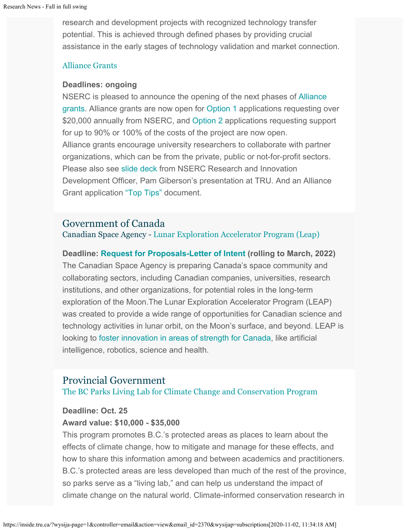research and development projects with recognized technology transfer potential. This is achieved through defined phases by providing crucial assistance in the early stages of technology validation and market connection.

#### [Alliance Grants](https://www.nserc-crsng.gc.ca/Innovate-Innover/alliance-alliance/index_eng.asp)

#### **Deadlines: ongoing**

NSERC is pleased to announce the opening of the next phases of [Alliance](https://www.nserc-crsng.gc.ca/Innovate-Innover/alliance-alliance/index_eng.asp) [grants](https://www.nserc-crsng.gc.ca/Innovate-Innover/alliance-alliance/index_eng.asp). Alliance grants are now open for [Option 1](https://www.nserc-crsng.gc.ca/Innovate-Innover/alliance-alliance/funding-financement_eng.asp#option1) applications requesting over \$20,000 annually from NSERC, and [Option 2](https://www.nserc-crsng.gc.ca/Innovate-Innover/alliance-alliance/index_eng.asp) applications requesting support for up to 90% or 100% of the costs of the project are now open. Alliance grants encourage university researchers to collaborate with partner organizations, which can be from the private, public or not-for-profit sectors. Please also see [slide deck](https://one.tru.ca/sites/rgs/ToolsandResources/_layouts/15/WopiFrame.aspx?sourcedoc=/sites/rgs/ToolsandResources/Shared%20Documents/NSERC_ALLIANCE.pptx&action=default) from NSERC Research and Innovation Development Officer, Pam Giberson's presentation at TRU. And an Alliance Grant application ["Top Tips"](https://one.tru.ca/sites/rgs/ToolsandResources/_layouts/15/WopiFrame.aspx?sourcedoc=/sites/rgs/ToolsandResources/Shared%20Documents/Alliance%20Grant%20-%20Top%20Tips%20EN%20%20FR.pdf&action=default) document.

### Government of Canada

Canadian Space Agency - [Lunar Exploration Accelerator Program \(Leap\)](http://inside.tru.ca/?email_id=2321&user_id=45&urlpassed=aHR0cHM6Ly9hc2MtY3NhLmdjLmNhL2VuZy9mdW5kaW5nLXByb2dyYW1zL3Byb2dyYW1zL2xlYXAvZGVmYXVsdC5hc3A&controller=stats&action=analyse&wysija-page=1&wysijap=subscriptions)

**Deadline: [Request for Proposals-Letter of Intent](http://inside.tru.ca/?email_id=2321&user_id=45&urlpassed=aHR0cHM6Ly9hc2MtY3NhLmdjLmNhL2VuZy9mdW5kaW5nLXByb2dyYW1zL3Byb2dyYW1zL2xlYXAvZGVmYXVsdC5hc3A&controller=stats&action=analyse&wysija-page=1&wysijap=subscriptions) (rolling to March, 2022)** The Canadian Space Agency is preparing Canada's space community and collaborating sectors, including Canadian companies, universities, research institutions, and other organizations, for potential roles in the long-term exploration of the Moon.The Lunar Exploration Accelerator Program (LEAP) was created to provide a wide range of opportunities for Canadian science and technology activities in lunar orbit, on the Moon's surface, and beyond. LEAP is looking to [foster innovation in areas of strength for Canada](http://inside.tru.ca/?email_id=2321&user_id=45&urlpassed=aHR0cHM6Ly9hc2MtY3NhLmdjLmNhL2VuZy9hc3Ryb25vbXkvbW9vbi1leHBsb3JhdGlvbi9jYW5hZGEtcm9sZS5hc3A&controller=stats&action=analyse&wysija-page=1&wysijap=subscriptions), like artificial intelligence, robotics, science and health.

## Provincial Government

#### [The BC Parks Living Lab for Climate Change and Conservation Program](https://forms.gov.bc.ca/environment/bc-parks-living-lab-for-climate-change-conservation-program/)

#### **Deadline: Oct. 25**

#### **Award value: \$10,000 - \$35,000**

This program promotes B.C.'s protected areas as places to learn about the effects of climate change, how to mitigate and manage for these effects, and how to share this information among and between academics and practitioners. B.C.'s protected areas are less developed than much of the rest of the province, so parks serve as a "living lab," and can help us understand the impact of climate change on the natural world. Climate-informed conservation research in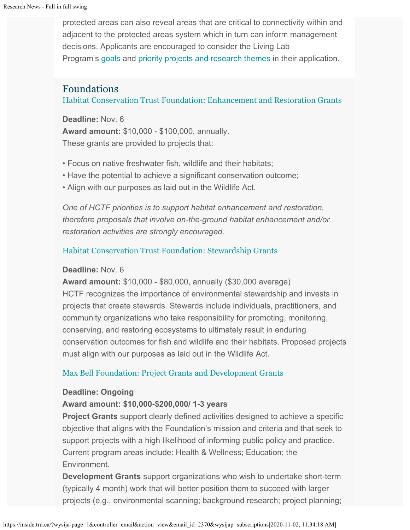protected areas can also reveal areas that are critical to connectivity within and adjacent to the protected areas system which in turn can inform management decisions. Applicants are encouraged to consider the Living Lab Program's [goals](http://bcparks.ca/partnerships/living-labs/) and [priority projects and research themes](http://www.env.gov.bc.ca/bcparks/partnerships/living-labs/research-themes/) in their application.

## Foundations

[Habitat Conservation Trust Foundation: Enhancement and Restoration Grants](https://hctf.ca/grants/enhancement-grants/)

**Deadline:** Nov. 6 **Award amount:** \$10,000 - \$100,000, annually. These grants are provided to projects that:

- Focus on native freshwater fish, wildlife and their habitats;
- Have the potential to achieve a significant conservation outcome;
- Align with our purposes as laid out in the Wildlife Act.

*One of HCTF priorities is to support habitat enhancement and restoration, therefore proposals that involve on-the-ground habitat enhancement and/or restoration activities are strongly encouraged.*

## [Habitat Conservation Trust Foundation: Stewardship Grants](https://hctf.ca/grants/stewardship-grants/)

### **Deadline:** Nov. 6

**Award amount:** \$10,000 - \$80,000, annually (\$30,000 average) HCTF recognizes the importance of environmental stewardship and invests in projects that create stewards. Stewards include individuals, practitioners, and community organizations who take responsibility for promoting, monitoring, conserving, and restoring ecosystems to ultimately result in enduring conservation outcomes for fish and wildlife and their habitats. Proposed projects must align with our purposes as laid out in the Wildlife Act.

## [Max Bell Foundation: Project Grants and Development Grants](https://maxbell.org/our-work/granting/types-programs/)

### **Deadline: Ongoing**

## **Award amount: \$10,000-\$200,000/ 1-3 years**

**Project Grants** support clearly defined activities designed to achieve a specific objective that aligns with the Foundation's mission and criteria and that seek to support projects with a high likelihood of informing public policy and practice. Current program areas include: Health & Wellness; Education; the Environment.

**Development Grants** support organizations who wish to undertake short-term (typically 4 month) work that will better position them to succeed with larger projects (e.g., environmental scanning; background research; project planning;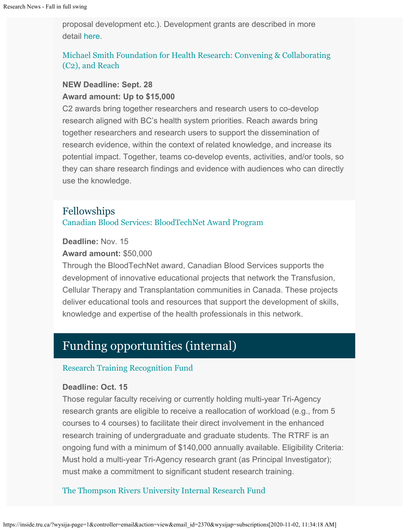proposal development etc.). Development grants are described in more detail [here](https://maxbell.org/our-work/types-programs/).

## [Michael Smith Foundation for Health Research: Convening & Collaborating](https://www.msfhr.org/2020-convening-collaborating-competition) [\(C2\), and Reach](https://www.msfhr.org/2020-convening-collaborating-competition)

### **NEW Deadline: Sept. 28 Award amount: Up to \$15,000**

C2 awards bring together researchers and research users to co-develop research aligned with BC's health system priorities. Reach awards bring together researchers and research users to support the dissemination of research evidence, within the context of related knowledge, and increase its potential impact. Together, teams co-develop events, activities, and/or tools, so they can share research findings and evidence with audiences who can directly use the knowledge.

# Fellowships

[Canadian Blood Services:](https://www.blood.ca/en/research/our-research-activities/our-research-funding-opportunities/bloodtechnet-award-program) [BloodTechNet Award Program](https://www.blood.ca/en/research/our-research-activities/our-research-funding-opportunities/bloodtechnet-award-program)

**Deadline:** Nov. 15

#### **Award amount:** \$50,000

Through the BloodTechNet award, Canadian Blood Services supports the development of innovative educational projects that network the Transfusion, Cellular Therapy and Transplantation communities in Canada. These projects deliver educational tools and resources that support the development of skills, knowledge and expertise of the health professionals in this network.

# Funding opportunities (internal)

### [Research Training Recognition Fund](https://tru.ca/research/research-services/research-services-faculty/faculty-research-funding/internal-opportunities.html)

#### **Deadline: Oct. 15**

Those regular faculty receiving or currently holding multi-year Tri-Agency research grants are eligible to receive a reallocation of workload (e.g., from 5 courses to 4 courses) to facilitate their direct involvement in the enhanced research training of undergraduate and graduate students. The RTRF is an ongoing fund with a minimum of \$140,000 annually available. Eligibility Criteria: Must hold a multi-year Tri-Agency research grant (as Principal Investigator); must make a commitment to significant student research training.

### [The Thompson Rivers University Internal Research Fund](https://tru.ca/research/research-services/research-services-faculty/faculty-research-funding/internal-opportunities.html)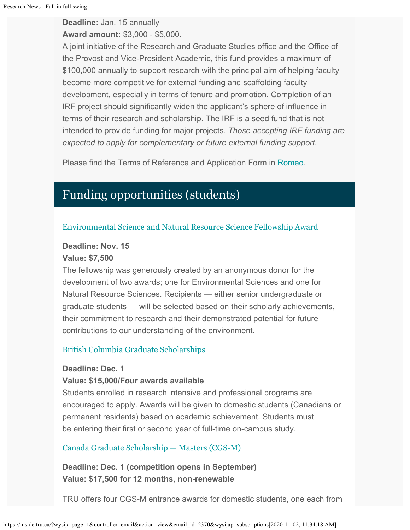**Deadline:** Jan. 15 annually

**Award amount:** \$3,000 - \$5,000.

A joint initiative of the Research and Graduate Studies office and the Office of the Provost and Vice-President Academic, this fund provides a maximum of \$100,000 annually to support research with the principal aim of helping faculty become more competitive for external funding and scaffolding faculty development, especially in terms of tenure and promotion. Completion of an IRF project should significantly widen the applicant's sphere of influence in terms of their research and scholarship. The IRF is a seed fund that is not intended to provide funding for major projects. *Those accepting IRF funding are expected to apply for complementary or future external funding support*.

Please find the Terms of Reference and Application Form in [Romeo](https://tru.researchservicesoffice.com/Romeo.Researcher/Login.aspx?ReturnUrl=/ROMEO.Researcher/default.aspx).

# Funding opportunities (students)

### [Environmental Science and Natural Resource Science Fellowship Award](https://tru.ca/research/undergraduate-research/undergraduate-research-opportunities.html)

### **Deadline: Nov. 15**

#### **Value: \$7,500**

The fellowship was generously created by an anonymous donor for the development of two awards; one for Environmental Sciences and one for Natural Resource Sciences. Recipients — either senior undergraduate or graduate students — will be selected based on their scholarly achievements, their commitment to research and their demonstrated potential for future contributions to our understanding of the environment.

## [British Columbia Graduate Scholarships](https://www.tru.ca/awards/awards/entrance.html#gradscholar)

#### **Deadline: Dec. 1**

### **Value: \$15,000/Four awards available**

Students enrolled in research intensive and professional programs are encouraged to apply. Awards will be given to domestic students (Canadians or permanent residents) based on academic achievement. Students must be entering their first or second year of full-time on-campus study.

### [Canada Graduate Scholarship — Masters \(CGS-M\)](http://www.nserc-crsng.gc.ca/Students-Etudiants/PG-CS/CGSM-BESCM_eng.asp)

**Deadline: Dec. 1 (competition opens in September) Value: \$17,500 for 12 months, non-renewable**

TRU offers four CGS-M entrance awards for domestic students, one each from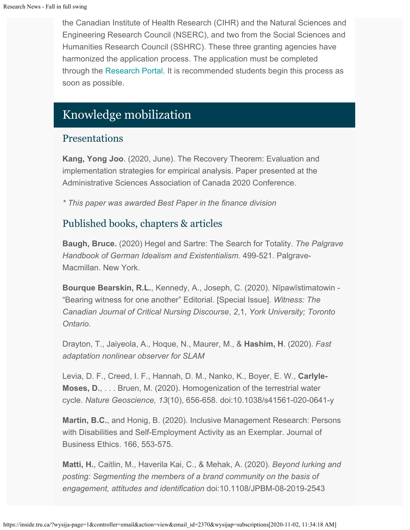the Canadian Institute of Health Research (CIHR) and the Natural Sciences and Engineering Research Council (NSERC), and two from the Social Sciences and Humanities Research Council (SSHRC). These three granting agencies have harmonized the application process. The application must be completed through the [Research Portal](https://portal-portail.nserc-crsng.gc.ca/s/login.aspx). It is recommended students begin this process as soon as possible.

# Knowledge mobilization

# Presentations

**Kang, Yong Joo**. (2020, June). The Recovery Theorem: Evaluation and implementation strategies for empirical analysis. Paper presented at the Administrative Sciences Association of Canada 2020 Conference.

*\* This paper was awarded Best Paper in the finance division*

# Published books, chapters & articles

**Baugh, Bruce.** (2020) Hegel and Sartre: The Search for Totality. *The Palgrave Handbook of German Idealism and Existentialism.* 499-521. Palgrave-Macmillan. New York.

**Bourque Bearskin, R.L.**, Kennedy, A., Joseph, C. (2020). Nīpawīstimatowin - "Bearing witness for one another" Editorial. [Special Issue]. *Witness: The Canadian Journal of Critical Nursing Discourse*, *2*,1, *York University; Toronto Ontario.*

Drayton, T., Jaiyeola, A., Hoque, N., Maurer, M., & **Hashim, H**. (2020). *Fast adaptation nonlinear observer for SLAM*

Levia, D. F., Creed, I. F., Hannah, D. M., Nanko, K., Boyer, E. W., **Carlyle-Moses, D.**, . . . Bruen, M. (2020). Homogenization of the terrestrial water cycle. *Nature Geoscience, 13*(10), 656-658. doi:10.1038/s41561-020-0641-y

**Martin, B.C.**, and Honig, B. (2020). Inclusive Management Research: Persons with Disabilities and Self-Employment Activity as an Exemplar. Journal of Business Ethics. 166, 553-575.

**Matti, H.**, Caitlin, M., Haverila Kai, C., & Mehak, A. (2020). *Beyond lurking and posting: Segmenting the members of a brand community on the basis of engagement, attitudes and identification* doi:10.1108/JPBM-08-2019-2543